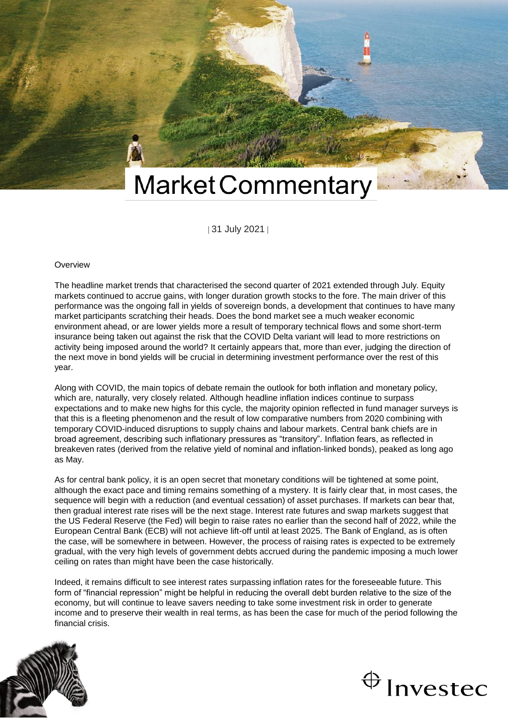

| 31 July 2021 |

#### **Overview**

The headline market trends that characterised the second quarter of 2021 extended through July. Equity markets continued to accrue gains, with longer duration growth stocks to the fore. The main driver of this performance was the ongoing fall in yields of sovereign bonds, a development that continues to have many market participants scratching their heads. Does the bond market see a much weaker economic environment ahead, or are lower yields more a result of temporary technical flows and some short-term insurance being taken out against the risk that the COVID Delta variant will lead to more restrictions on activity being imposed around the world? It certainly appears that, more than ever, judging the direction of the next move in bond yields will be crucial in determining investment performance over the rest of this year.

Along with COVID, the main topics of debate remain the outlook for both inflation and monetary policy, which are, naturally, very closely related. Although headline inflation indices continue to surpass expectations and to make new highs for this cycle, the majority opinion reflected in fund manager surveys is that this is a fleeting phenomenon and the result of low comparative numbers from 2020 combining with temporary COVID-induced disruptions to supply chains and labour markets. Central bank chiefs are in broad agreement, describing such inflationary pressures as "transitory". Inflation fears, as reflected in breakeven rates (derived from the relative yield of nominal and inflation-linked bonds), peaked as long ago as May.

As for central bank policy, it is an open secret that monetary conditions will be tightened at some point, although the exact pace and timing remains something of a mystery. It is fairly clear that, in most cases, the sequence will begin with a reduction (and eventual cessation) of asset purchases. If markets can bear that, then gradual interest rate rises will be the next stage. Interest rate futures and swap markets suggest that the US Federal Reserve (the Fed) will begin to raise rates no earlier than the second half of 2022, while the European Central Bank (ECB) will not achieve lift-off until at least 2025. The Bank of England, as is often the case, will be somewhere in between. However, the process of raising rates is expected to be extremely gradual, with the very high levels of government debts accrued during the pandemic imposing a much lower ceiling on rates than might have been the case historically.

Indeed, it remains difficult to see interest rates surpassing inflation rates for the foreseeable future. This form of "financial repression" might be helpful in reducing the overall debt burden relative to the size of the economy, but will continue to leave savers needing to take some investment risk in order to generate income and to preserve their wealth in real terms, as has been the case for much of the period following the financial crisis.



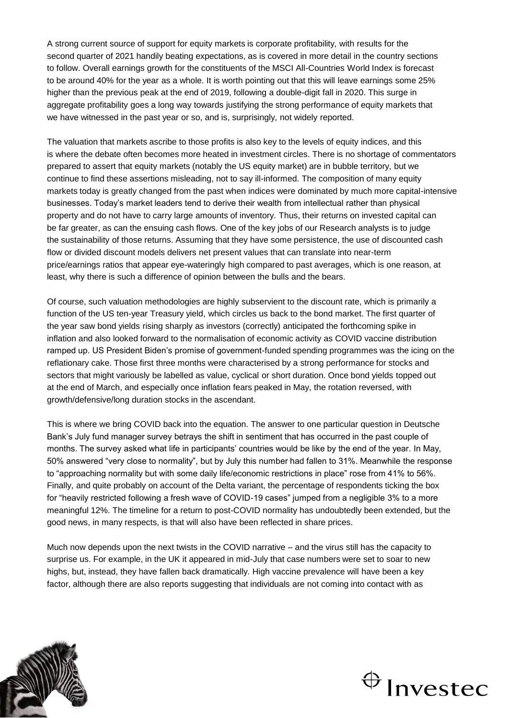A strong current source of support for equity markets is corporate profitability, with results for the second quarter of 2021 handily beating expectations, as is covered in more detail in the country sections to follow. Overall earnings growth for the constituents of the MSCI All-Countries World Index is forecast to be around 40% for the year as a whole. It is worth pointing out that this will leave earnings some 25% higher than the previous peak at the end of 2019, following a double-digit fall in 2020. This surge in aggregate profitability goes a long way towards justifying the strong performance of equity markets that we have witnessed in the past year or so, and is, surprisingly, not widely reported.

The valuation that markets ascribe to those profits is also key to the levels of equity indices, and this is where the debate often becomes more heated in investment circles. There is no shortage of commentators prepared to assert that equity markets (notably the US equity market) are in bubble territory, but we continue to find these assertions misleading, not to say ill-informed. The composition of many equity markets today is greatly changed from the past when indices were dominated by much more capital-intensive businesses. Today's market leaders tend to derive their wealth from intellectual rather than physical property and do not have to carry large amounts of inventory. Thus, their returns on invested capital can be far greater, as can the ensuing cash flows. One of the key jobs of our Research analysts is to judge the sustainability of those returns. Assuming that they have some persistence, the use of discounted cash flow or divided discount models delivers net present values that can translate into near-term price/earnings ratios that appear eye-wateringly high compared to past averages, which is one reason, at least, why there is such a difference of opinion between the bulls and the bears.

Of course, such valuation methodologies are highly subservient to the discount rate, which is primarily a function of the US ten-year Treasury yield, which circles us back to the bond market. The first quarter of the year saw bond yields rising sharply as investors (correctly) anticipated the forthcoming spike in inflation and also looked forward to the normalisation of economic activity as COVID vaccine distribution ramped up. US President Biden's promise of government-funded spending programmes was the icing on the reflationary cake. Those first three months were characterised by a strong performance for stocks and sectors that might variously be labelled as value, cyclical or short duration. Once bond yields topped out at the end of March, and especially once inflation fears peaked in May, the rotation reversed, with growth/defensive/long duration stocks in the ascendant.

This is where we bring COVID back into the equation. The answer to one particular question in Deutsche Bank's July fund manager survey betrays the shift in sentiment that has occurred in the past couple of months. The survey asked what life in participants' countries would be like by the end of the year. In May, 50% answered "very close to normality", but by July this number had fallen to 31%. Meanwhile the response to "approaching normality but with some daily life/economic restrictions in place" rose from 41% to 56%. Finally, and quite probably on account of the Delta variant, the percentage of respondents ticking the box for "heavily restricted following a fresh wave of COVID-19 cases" jumped from a negligible 3% to a more meaningful 12%. The timeline for a return to post-COVID normality has undoubtedly been extended, but the good news, in many respects, is that will also have been reflected in share prices.

Much now depends upon the next twists in the COVID narrative – and the virus still has the capacity to surprise us. For example, in the UK it appeared in mid-July that case numbers were set to soar to new highs, but, instead, they have fallen back dramatically. High vaccine prevalence will have been a key factor, although there are also reports suggesting that individuals are not coming into contact with as



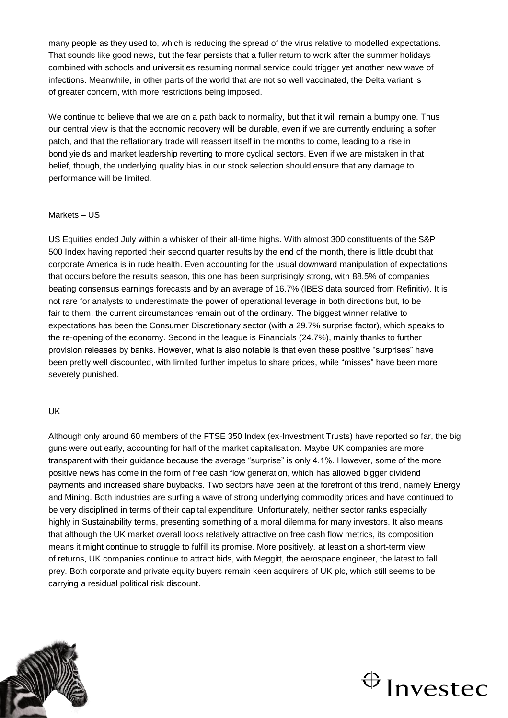many people as they used to, which is reducing the spread of the virus relative to modelled expectations. That sounds like good news, but the fear persists that a fuller return to work after the summer holidays combined with schools and universities resuming normal service could trigger yet another new wave of infections. Meanwhile, in other parts of the world that are not so well vaccinated, the Delta variant is of greater concern, with more restrictions being imposed.

We continue to believe that we are on a path back to normality, but that it will remain a bumpy one. Thus our central view is that the economic recovery will be durable, even if we are currently enduring a softer patch, and that the reflationary trade will reassert itself in the months to come, leading to a rise in bond yields and market leadership reverting to more cyclical sectors. Even if we are mistaken in that belief, though, the underlying quality bias in our stock selection should ensure that any damage to performance will be limited.

### Markets – US

US Equities ended July within a whisker of their all-time highs. With almost 300 constituents of the S&P 500 Index having reported their second quarter results by the end of the month, there is little doubt that corporate America is in rude health. Even accounting for the usual downward manipulation of expectations that occurs before the results season, this one has been surprisingly strong, with 88.5% of companies beating consensus earnings forecasts and by an average of 16.7% (IBES data sourced from Refinitiv). It is not rare for analysts to underestimate the power of operational leverage in both directions but, to be fair to them, the current circumstances remain out of the ordinary. The biggest winner relative to expectations has been the Consumer Discretionary sector (with a 29.7% surprise factor), which speaks to the re-opening of the economy. Second in the league is Financials (24.7%), mainly thanks to further provision releases by banks. However, what is also notable is that even these positive "surprises" have been pretty well discounted, with limited further impetus to share prices, while "misses" have been more severely punished.

#### UK

Although only around 60 members of the FTSE 350 Index (ex-Investment Trusts) have reported so far, the big guns were out early, accounting for half of the market capitalisation. Maybe UK companies are more transparent with their guidance because the average "surprise" is only 4.1%. However, some of the more positive news has come in the form of free cash flow generation, which has allowed bigger dividend payments and increased share buybacks. Two sectors have been at the forefront of this trend, namely Energy and Mining. Both industries are surfing a wave of strong underlying commodity prices and have continued to be very disciplined in terms of their capital expenditure. Unfortunately, neither sector ranks especially highly in Sustainability terms, presenting something of a moral dilemma for many investors. It also means that although the UK market overall looks relatively attractive on free cash flow metrics, its composition means it might continue to struggle to fulfill its promise. More positively, at least on a short-term view of returns, UK companies continue to attract bids, with Meggitt, the aerospace engineer, the latest to fall prey. Both corporate and private equity buyers remain keen acquirers of UK plc, which still seems to be carrying a residual political risk discount.



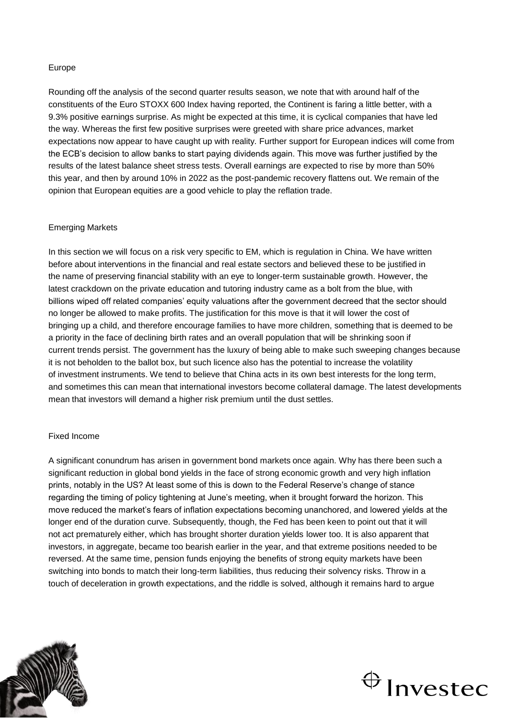## Europe

Rounding off the analysis of the second quarter results season, we note that with around half of the constituents of the Euro STOXX 600 Index having reported, the Continent is faring a little better, with a 9.3% positive earnings surprise. As might be expected at this time, it is cyclical companies that have led the way. Whereas the first few positive surprises were greeted with share price advances, market expectations now appear to have caught up with reality. Further support for European indices will come from the ECB's decision to allow banks to start paying dividends again. This move was further justified by the results of the latest balance sheet stress tests. Overall earnings are expected to rise by more than 50% this year, and then by around 10% in 2022 as the post-pandemic recovery flattens out. We remain of the opinion that European equities are a good vehicle to play the reflation trade.

## Emerging Markets

In this section we will focus on a risk very specific to EM, which is regulation in China. We have written before about interventions in the financial and real estate sectors and believed these to be justified in the name of preserving financial stability with an eye to longer-term sustainable growth. However, the latest crackdown on the private education and tutoring industry came as a bolt from the blue, with billions wiped off related companies' equity valuations after the government decreed that the sector should no longer be allowed to make profits. The justification for this move is that it will lower the cost of bringing up a child, and therefore encourage families to have more children, something that is deemed to be a priority in the face of declining birth rates and an overall population that will be shrinking soon if current trends persist. The government has the luxury of being able to make such sweeping changes because it is not beholden to the ballot box, but such licence also has the potential to increase the volatility of investment instruments. We tend to believe that China acts in its own best interests for the long term, and sometimes this can mean that international investors become collateral damage. The latest developments mean that investors will demand a higher risk premium until the dust settles.

### Fixed Income

A significant conundrum has arisen in government bond markets once again. Why has there been such a significant reduction in global bond yields in the face of strong economic growth and very high inflation prints, notably in the US? At least some of this is down to the Federal Reserve's change of stance regarding the timing of policy tightening at June's meeting, when it brought forward the horizon. This move reduced the market's fears of inflation expectations becoming unanchored, and lowered yields at the longer end of the duration curve. Subsequently, though, the Fed has been keen to point out that it will not act prematurely either, which has brought shorter duration yields lower too. It is also apparent that investors, in aggregate, became too bearish earlier in the year, and that extreme positions needed to be reversed. At the same time, pension funds enjoying the benefits of strong equity markets have been switching into bonds to match their long-term liabilities, thus reducing their solvency risks. Throw in a touch of deceleration in growth expectations, and the riddle is solved, although it remains hard to argue



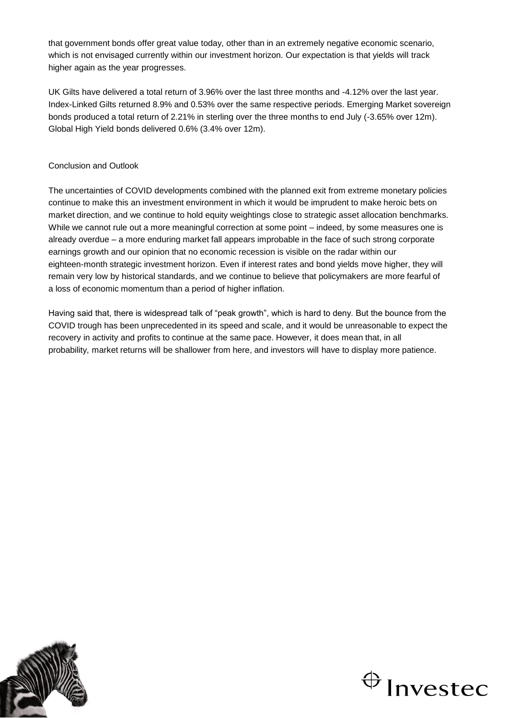that government bonds offer great value today, other than in an extremely negative economic scenario, which is not envisaged currently within our investment horizon. Our expectation is that yields will track higher again as the year progresses.

UK Gilts have delivered a total return of 3.96% over the last three months and -4.12% over the last year. Index-Linked Gilts returned 8.9% and 0.53% over the same respective periods. Emerging Market sovereign bonds produced a total return of 2.21% in sterling over the three months to end July (-3.65% over 12m). Global High Yield bonds delivered 0.6% (3.4% over 12m).

# Conclusion and Outlook

The uncertainties of COVID developments combined with the planned exit from extreme monetary policies continue to make this an investment environment in which it would be imprudent to make heroic bets on market direction, and we continue to hold equity weightings close to strategic asset allocation benchmarks. While we cannot rule out a more meaningful correction at some point – indeed, by some measures one is already overdue – a more enduring market fall appears improbable in the face of such strong corporate earnings growth and our opinion that no economic recession is visible on the radar within our eighteen-month strategic investment horizon. Even if interest rates and bond yields move higher, they will remain very low by historical standards, and we continue to believe that policymakers are more fearful of a loss of economic momentum than a period of higher inflation.

Having said that, there is widespread talk of "peak growth", which is hard to deny. But the bounce from the COVID trough has been unprecedented in its speed and scale, and it would be unreasonable to expect the recovery in activity and profits to continue at the same pace. However, it does mean that, in all probability, market returns will be shallower from here, and investors will have to display more patience.